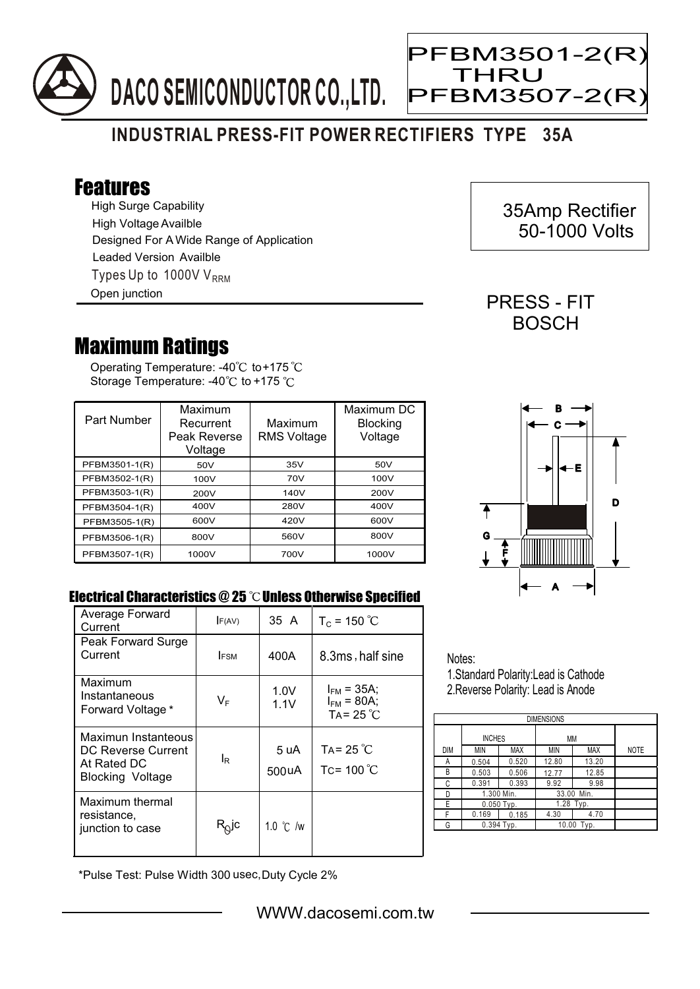

## **INDUSTRIAL PRESS-FIT POWER RECTIFIERS TYPE 35A**

## Features

High Surge Capability Types Up to 1000V  $V_{RRM}$ High Voltage Availble Designed For A Wide Range of Application Leaded Version Availble Open junction

## Maximum Ratings

Operating Temperature: -40 $^{\circ}\textrm{C}$  to+175 Storage Temperature: -40 $\degree$ C to +175  $\degree$ C

| Part Number   | Maximum<br>Recurrent<br>Peak Reverse<br>Voltage | Maximum<br><b>RMS Voltage</b> | Maximum DC<br><b>Blocking</b><br>Voltage |
|---------------|-------------------------------------------------|-------------------------------|------------------------------------------|
| PFBM3501-1(R) | 50V                                             | 35V                           | 50V                                      |
| PFBM3502-1(R) | 100V                                            | 70V                           | 100V                                     |
| PFBM3503-1(R) | 200V                                            | 140V                          | 200V                                     |
| PFBM3504-1(R) | 400V                                            | 280V                          | 400V                                     |
| PFBM3505-1(R) | 600V                                            | 420V                          | 600V                                     |
| PFBM3506-1(R) | 800V                                            | 560V                          | 800V                                     |
| PFBM3507-1(R) | 1000V                                           | 700V                          | 1000V                                    |



## Electrical Characteristics @ 25 °C Unless Otherwise Specified

| Average Forward<br>Current                                                   | F(AV)                   | 35 A          | $T_c = 150 °C$                                           |
|------------------------------------------------------------------------------|-------------------------|---------------|----------------------------------------------------------|
| Peak Forward Surge<br>Current                                                | <b>IFSM</b>             | 400A          | 8.3ms, half sine                                         |
| Maximum<br>Instantaneous<br>Forward Voltage *                                | $\mathsf{V}_\mathsf{F}$ | 1.0V<br>1.1V  | $I_{FM}$ = 35A;<br>$I_{FM}$ = 80A;<br>TA= $25^{\circ}$ C |
| Maximun Instanteous<br>DC Reverse Current<br>At Rated DC<br>Blocking Voltage | l <sub>R</sub>          | 5 uA<br>500uA | TA= 25 $^{\circ}$ C<br>Tc= $100^{\circ}$ C               |
| Maximum thermal<br>resistance.<br>junction to case                           | R <sub>Q</sub> jc       | 1.0 °C /w     |                                                          |

Notes: 1.Standard Polarity:Lead is Cathode

2.Reverse Polarity: Lead is Anode

| <b>DIMENSIONS</b> |               |       |            |       |             |  |  |  |
|-------------------|---------------|-------|------------|-------|-------------|--|--|--|
|                   | <b>INCHES</b> |       | MM         |       |             |  |  |  |
| <b>DIM</b>        | MIN           | MAX   | MIN        | MAX   | <b>NOTE</b> |  |  |  |
| А                 | 0.504         | 0.520 | 12.80      | 13.20 |             |  |  |  |
| В                 | 0.503         | 0.506 | 12.77      | 12.85 |             |  |  |  |
| С                 | 0.391         | 0.393 | 9.92       | 9.98  |             |  |  |  |
| D                 | 1.300 Min.    |       | 33.00 Min. |       |             |  |  |  |
| E                 | $0.050$ Typ.  |       | 1.28 Typ.  |       |             |  |  |  |
| F                 | 0.169         | 0.185 | 4.30       | 4.70  |             |  |  |  |
| G                 | $0.394$ Typ.  |       | 10.00 Typ. |       |             |  |  |  |

\*Pulse Test: Pulse Width 300 usec,Duty Cycle 2%

 35Amp Rectifier 50-1000 Volts

PRESS - FIT **BOSCH** 

PFBM3501-2(R)

PFBM3507-2(R)

THRU

Ξ